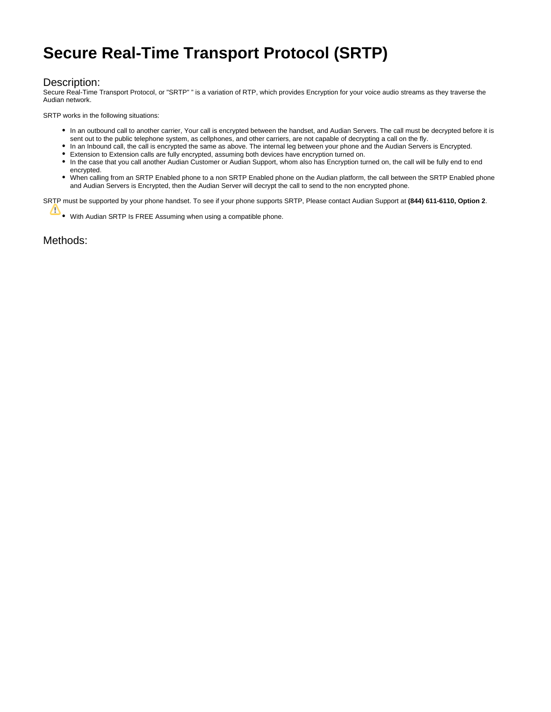## **Secure Real-Time Transport Protocol (SRTP)**

## Description:

Secure Real-Time Transport Protocol, or "SRTP" " is a variation of RTP, which provides Encryption for your voice audio streams as they traverse the Audian network.

SRTP works in the following situations:

- In an outbound call to another carrier, Your call is encrypted between the handset, and Audian Servers. The call must be decrypted before it is sent out to the public telephone system, as cellphones, and other carriers, are not capable of decrypting a call on the fly.
- In an Inbound call, the call is encrypted the same as above. The internal leg between your phone and the Audian Servers is Encrypted.
- Extension to Extension calls are fully encrypted, assuming both devices have encryption turned on.
- In the case that you call another Audian Customer or Audian Support, whom also has Encryption turned on, the call will be fully end to end encrypted.
- When calling from an SRTP Enabled phone to a non SRTP Enabled phone on the Audian platform, the call between the SRTP Enabled phone and Audian Servers is Encrypted, then the Audian Server will decrypt the call to send to the non encrypted phone.

SRTP must be supported by your phone handset. To see if your phone supports SRTP, Please contact Audian Support at **(844) 611-6110, Option 2**.

With Audian SRTP Is FREE Assuming when using a compatible phone.

Methods: